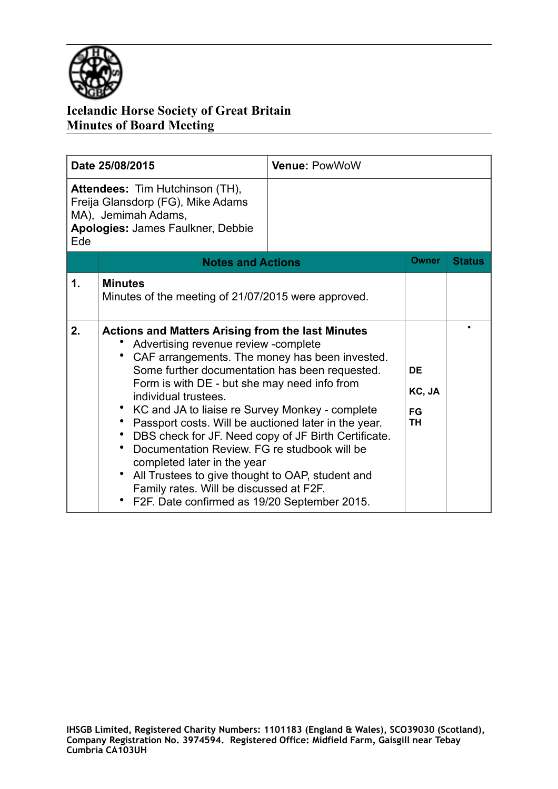

| Date 25/08/2015                                                                                                                                |                                                                                                                                                                                                                                                                                                                                                                                                                                                                                                                                                                                                                                                                                                 | <b>Venue: PowWoW</b> |                                               |               |
|------------------------------------------------------------------------------------------------------------------------------------------------|-------------------------------------------------------------------------------------------------------------------------------------------------------------------------------------------------------------------------------------------------------------------------------------------------------------------------------------------------------------------------------------------------------------------------------------------------------------------------------------------------------------------------------------------------------------------------------------------------------------------------------------------------------------------------------------------------|----------------------|-----------------------------------------------|---------------|
| <b>Attendees: Tim Hutchinson (TH),</b><br>Freija Glansdorp (FG), Mike Adams<br>MA), Jemimah Adams,<br>Apologies: James Faulkner, Debbie<br>Ede |                                                                                                                                                                                                                                                                                                                                                                                                                                                                                                                                                                                                                                                                                                 |                      |                                               |               |
|                                                                                                                                                | <b>Notes and Actions</b>                                                                                                                                                                                                                                                                                                                                                                                                                                                                                                                                                                                                                                                                        |                      | <b>Owner</b>                                  | <b>Status</b> |
| 1.                                                                                                                                             | <b>Minutes</b><br>Minutes of the meeting of 21/07/2015 were approved.                                                                                                                                                                                                                                                                                                                                                                                                                                                                                                                                                                                                                           |                      |                                               |               |
| 2.                                                                                                                                             | <b>Actions and Matters Arising from the last Minutes</b><br>Advertising revenue review - complete<br>CAF arrangements. The money has been invested.<br>Some further documentation has been requested.<br>Form is with DE - but she may need info from<br>individual trustees.<br>• KC and JA to liaise re Survey Monkey - complete<br>Passport costs. Will be auctioned later in the year.<br>• DBS check for JF. Need copy of JF Birth Certificate.<br>Documentation Review. FG re studbook will be<br>completed later in the year<br>All Trustees to give thought to OAP, student and<br>$\bullet$<br>Family rates. Will be discussed at F2F.<br>F2F. Date confirmed as 19/20 September 2015. |                      | <b>DE</b><br>KC, JA<br><b>FG</b><br><b>TH</b> |               |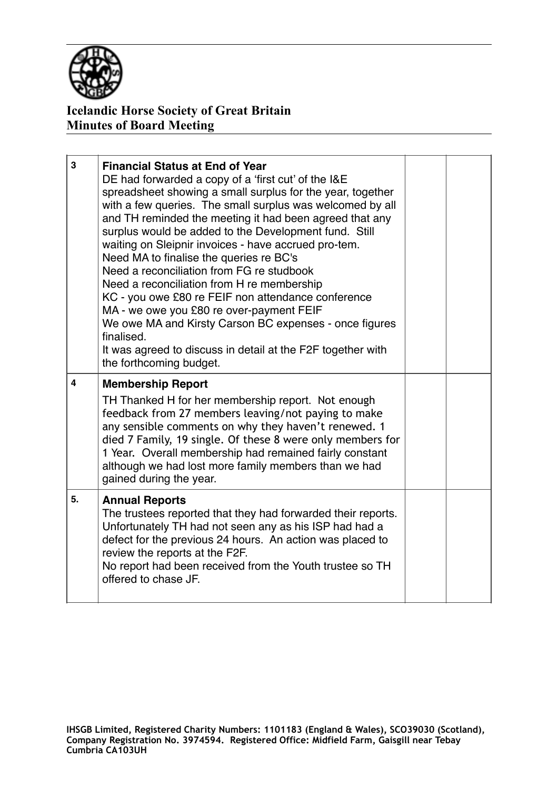

| 3                       | <b>Financial Status at End of Year</b><br>DE had forwarded a copy of a 'first cut' of the I&E<br>spreadsheet showing a small surplus for the year, together<br>with a few queries. The small surplus was welcomed by all<br>and TH reminded the meeting it had been agreed that any<br>surplus would be added to the Development fund. Still<br>waiting on Sleipnir invoices - have accrued pro-tem.<br>Need MA to finalise the queries re BC's<br>Need a reconciliation from FG re studbook<br>Need a reconciliation from H re membership<br>KC - you owe £80 re FEIF non attendance conference<br>MA - we owe you £80 re over-payment FEIF<br>We owe MA and Kirsty Carson BC expenses - once figures<br>finalised.<br>It was agreed to discuss in detail at the F2F together with<br>the forthcoming budget. |  |
|-------------------------|----------------------------------------------------------------------------------------------------------------------------------------------------------------------------------------------------------------------------------------------------------------------------------------------------------------------------------------------------------------------------------------------------------------------------------------------------------------------------------------------------------------------------------------------------------------------------------------------------------------------------------------------------------------------------------------------------------------------------------------------------------------------------------------------------------------|--|
| $\overline{\mathbf{4}}$ | <b>Membership Report</b><br>TH Thanked H for her membership report. Not enough<br>feedback from 27 members leaving/not paying to make<br>any sensible comments on why they haven't renewed. 1<br>died 7 Family, 19 single. Of these 8 were only members for<br>1 Year. Overall membership had remained fairly constant<br>although we had lost more family members than we had<br>gained during the year.                                                                                                                                                                                                                                                                                                                                                                                                      |  |
| 5.                      | <b>Annual Reports</b><br>The trustees reported that they had forwarded their reports.<br>Unfortunately TH had not seen any as his ISP had had a<br>defect for the previous 24 hours. An action was placed to<br>review the reports at the F2F.<br>No report had been received from the Youth trustee so TH<br>offered to chase JF.                                                                                                                                                                                                                                                                                                                                                                                                                                                                             |  |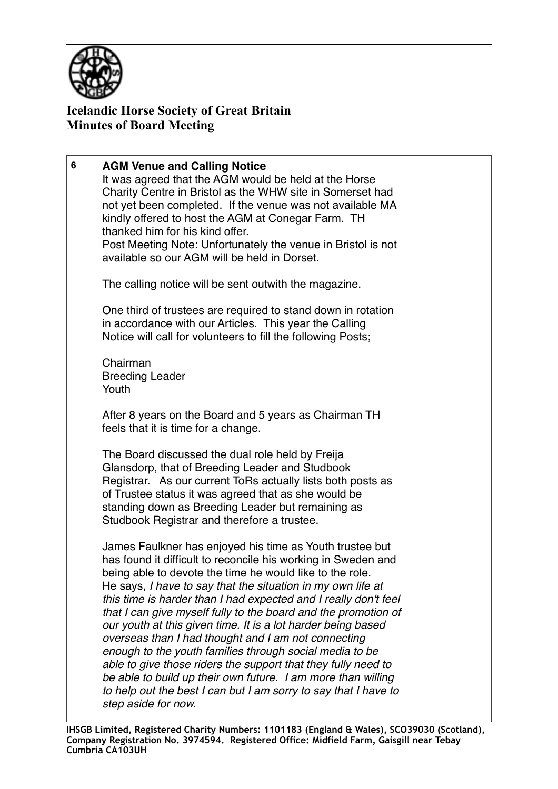

| 6 | <b>AGM Venue and Calling Notice</b><br>It was agreed that the AGM would be held at the Horse<br>Charity Centre in Bristol as the WHW site in Somerset had<br>not yet been completed. If the venue was not available MA<br>kindly offered to host the AGM at Conegar Farm. TH<br>thanked him for his kind offer.<br>Post Meeting Note: Unfortunately the venue in Bristol is not<br>available so our AGM will be held in Dorset.                                                                                                                                                                                                                                                                                                                                                                        |  |
|---|--------------------------------------------------------------------------------------------------------------------------------------------------------------------------------------------------------------------------------------------------------------------------------------------------------------------------------------------------------------------------------------------------------------------------------------------------------------------------------------------------------------------------------------------------------------------------------------------------------------------------------------------------------------------------------------------------------------------------------------------------------------------------------------------------------|--|
|   | The calling notice will be sent outwith the magazine.                                                                                                                                                                                                                                                                                                                                                                                                                                                                                                                                                                                                                                                                                                                                                  |  |
|   | One third of trustees are required to stand down in rotation<br>in accordance with our Articles. This year the Calling<br>Notice will call for volunteers to fill the following Posts;                                                                                                                                                                                                                                                                                                                                                                                                                                                                                                                                                                                                                 |  |
|   | Chairman<br><b>Breeding Leader</b><br>Youth                                                                                                                                                                                                                                                                                                                                                                                                                                                                                                                                                                                                                                                                                                                                                            |  |
|   | After 8 years on the Board and 5 years as Chairman TH<br>feels that it is time for a change.                                                                                                                                                                                                                                                                                                                                                                                                                                                                                                                                                                                                                                                                                                           |  |
|   | The Board discussed the dual role held by Freija<br>Glansdorp, that of Breeding Leader and Studbook<br>Registrar. As our current ToRs actually lists both posts as<br>of Trustee status it was agreed that as she would be<br>standing down as Breeding Leader but remaining as<br>Studbook Registrar and therefore a trustee.                                                                                                                                                                                                                                                                                                                                                                                                                                                                         |  |
|   | James Faulkner has enjoyed his time as Youth trustee but<br>has found it difficult to reconcile his working in Sweden and<br>being able to devote the time he would like to the role.<br>He says, I have to say that the situation in my own life at<br>this time is harder than I had expected and I really don't feel<br>that I can give myself fully to the board and the promotion of<br>our youth at this given time. It is a lot harder being based<br>overseas than I had thought and I am not connecting<br>enough to the youth families through social media to be<br>able to give those riders the support that they fully need to<br>be able to build up their own future. I am more than willing<br>to help out the best I can but I am sorry to say that I have to<br>step aside for now. |  |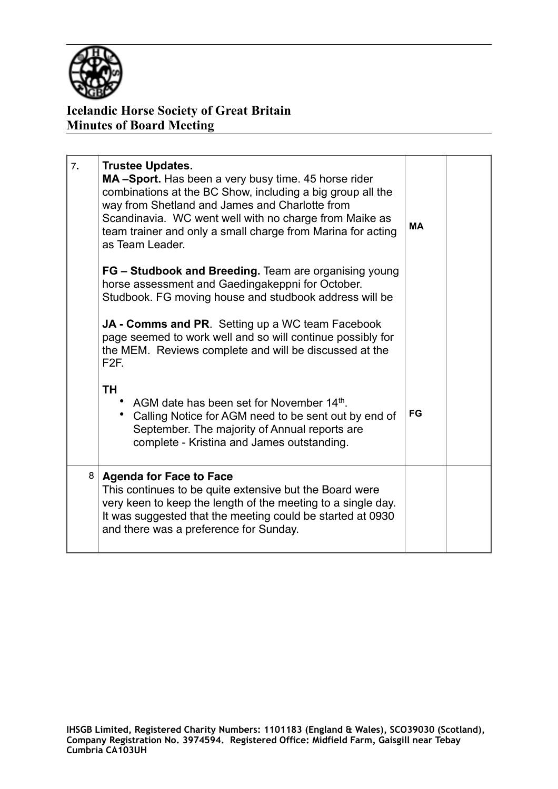

| 7. | <b>Trustee Updates.</b><br>MA-Sport. Has been a very busy time. 45 horse rider<br>combinations at the BC Show, including a big group all the<br>way from Shetland and James and Charlotte from<br>Scandinavia. WC went well with no charge from Maike as<br>team trainer and only a small charge from Marina for acting<br>as Team Leader.<br>FG - Studbook and Breeding. Team are organising young | <b>MA</b> |  |
|----|-----------------------------------------------------------------------------------------------------------------------------------------------------------------------------------------------------------------------------------------------------------------------------------------------------------------------------------------------------------------------------------------------------|-----------|--|
|    | horse assessment and Gaedingakeppni for October.<br>Studbook. FG moving house and studbook address will be<br><b>JA - Comms and PR.</b> Setting up a WC team Facebook<br>page seemed to work well and so will continue possibly for<br>the MEM. Reviews complete and will be discussed at the<br>F2F.                                                                                               |           |  |
|    | TH<br>AGM date has been set for November 14th.<br>Calling Notice for AGM need to be sent out by end of<br>September. The majority of Annual reports are<br>complete - Kristina and James outstanding.                                                                                                                                                                                               | <b>FG</b> |  |
| 8  | <b>Agenda for Face to Face</b><br>This continues to be quite extensive but the Board were<br>very keen to keep the length of the meeting to a single day.<br>It was suggested that the meeting could be started at 0930<br>and there was a preference for Sunday.                                                                                                                                   |           |  |